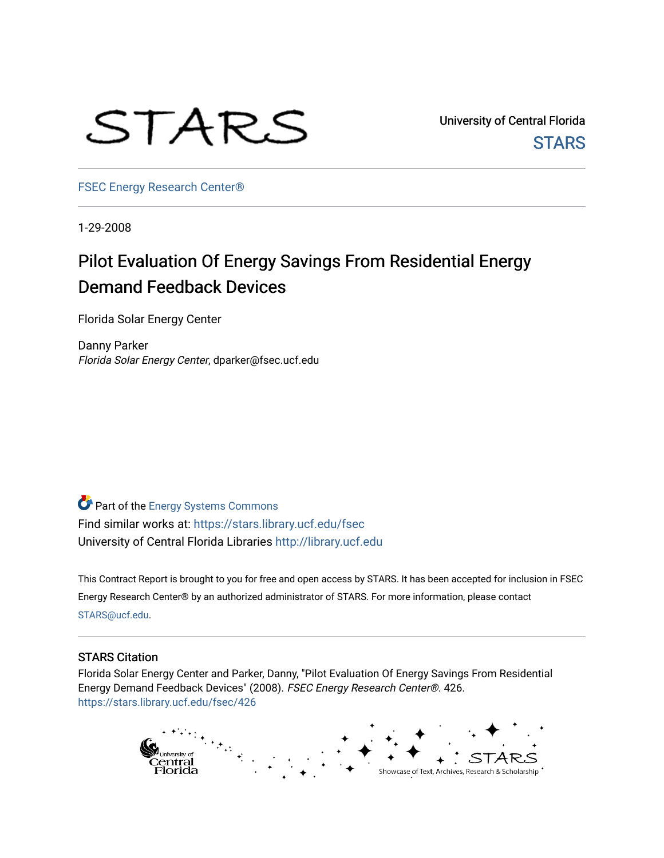

University of Central Florida **STARS** 

[FSEC Energy Research Center®](https://stars.library.ucf.edu/fsec) 

1-29-2008

## Pilot Evaluation Of Energy Savings From Residential Energy Demand Feedback Devices

Florida Solar Energy Center

Danny Parker Florida Solar Energy Center, dparker@fsec.ucf.edu

Part of the [Energy Systems Commons](http://network.bepress.com/hgg/discipline/299?utm_source=stars.library.ucf.edu%2Ffsec%2F426&utm_medium=PDF&utm_campaign=PDFCoverPages)  Find similar works at: <https://stars.library.ucf.edu/fsec> University of Central Florida Libraries [http://library.ucf.edu](http://library.ucf.edu/) 

This Contract Report is brought to you for free and open access by STARS. It has been accepted for inclusion in FSEC Energy Research Center® by an authorized administrator of STARS. For more information, please contact [STARS@ucf.edu](mailto:STARS@ucf.edu).

#### STARS Citation

Florida Solar Energy Center and Parker, Danny, "Pilot Evaluation Of Energy Savings From Residential Energy Demand Feedback Devices" (2008). FSEC Energy Research Center®. 426. [https://stars.library.ucf.edu/fsec/426](https://stars.library.ucf.edu/fsec/426?utm_source=stars.library.ucf.edu%2Ffsec%2F426&utm_medium=PDF&utm_campaign=PDFCoverPages)

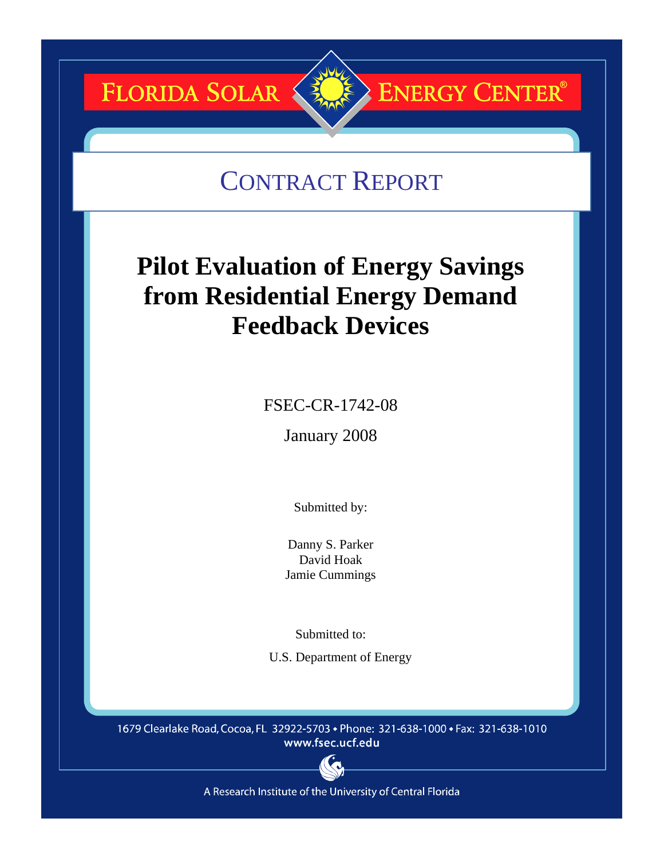# **FLORIDA SOLAR &**

## CONTRACT REPORT

**ENERGY CENTER®** 

## **Pilot Evaluation of Energy Savings from Residential Energy Demand Feedback Devices**

FSEC-CR-1742-08

January 2008

Submitted by:

Danny S. Parker David Hoak Jamie Cummings

Submitted to:

U.S. Department of Energy

1679 Clearlake Road, Cocoa, FL 32922-5703 • Phone: 321-638-1000 • Fax: 321-638-1010 www.fsec.ucf.edu



A Research Institute of the University of Central Florida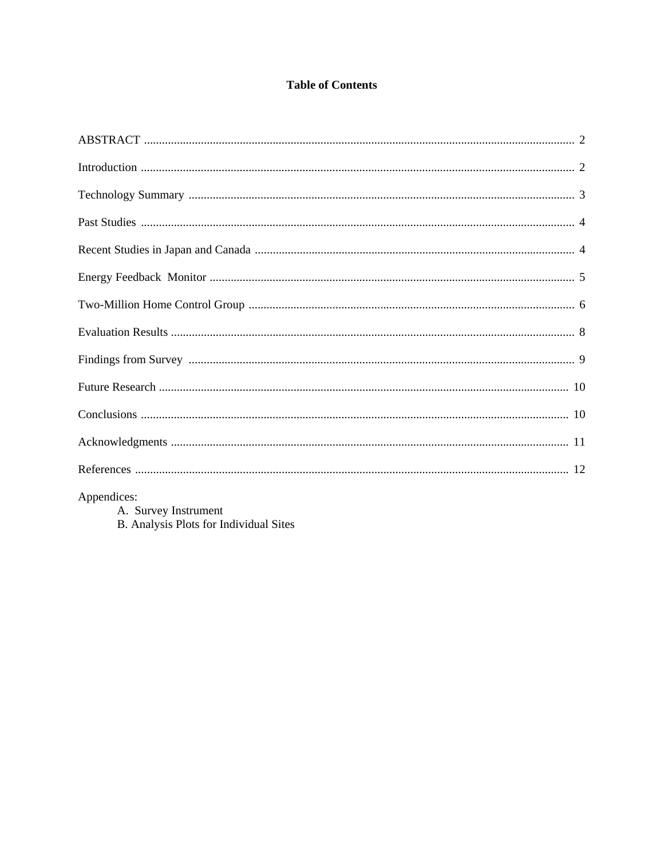## **Table of Contents**

| $\lambda$ and $\lambda$ is the set of $\lambda$ is the set of $\lambda$ is the set of $\lambda$ is the set of $\lambda$ is the set of $\lambda$ is the set of $\lambda$ is the set of $\lambda$ is the set of $\lambda$ is the set of $\lambda$ is the set of $\lambda$ is the set of $\lambda$ |  |
|-------------------------------------------------------------------------------------------------------------------------------------------------------------------------------------------------------------------------------------------------------------------------------------------------|--|

Appendices:

A. Survey Instrument<br>B. Analysis Plots for Individual Sites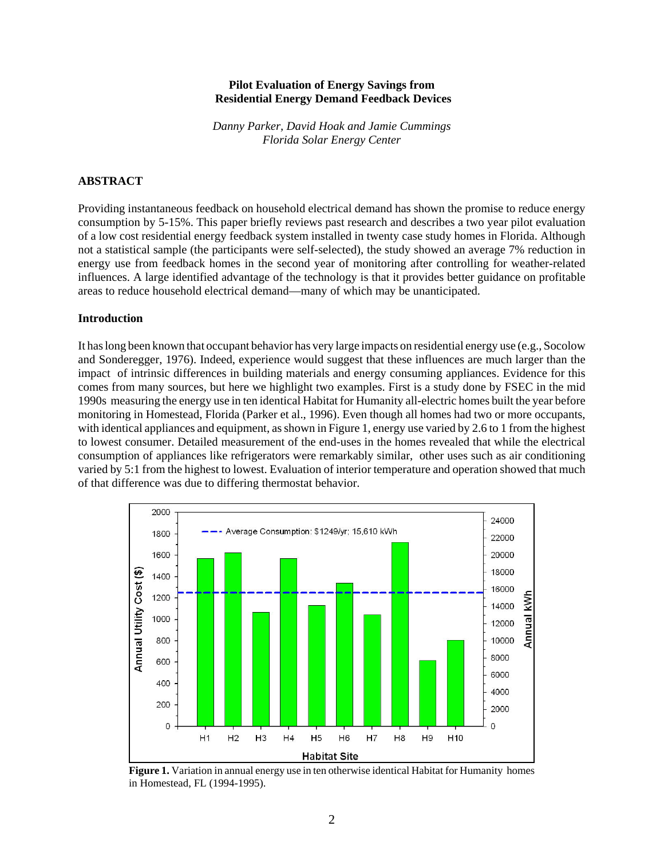#### **Pilot Evaluation of Energy Savings from Residential Energy Demand Feedback Devices**

*Danny Parker, David Hoak and Jamie Cummings Florida Solar Energy Center*

#### **ABSTRACT**

Providing instantaneous feedback on household electrical demand has shown the promise to reduce energy consumption by 5-15%. This paper briefly reviews past research and describes a two year pilot evaluation of a low cost residential energy feedback system installed in twenty case study homes in Florida. Although not a statistical sample (the participants were self-selected), the study showed an average 7% reduction in energy use from feedback homes in the second year of monitoring after controlling for weather-related influences. A large identified advantage of the technology is that it provides better guidance on profitable areas to reduce household electrical demand—many of which may be unanticipated.

#### **Introduction**

It has long been known that occupant behavior has very large impacts on residential energy use (e.g., Socolow and Sonderegger, 1976). Indeed, experience would suggest that these influences are much larger than the impact of intrinsic differences in building materials and energy consuming appliances. Evidence for this comes from many sources, but here we highlight two examples. First is a study done by FSEC in the mid 1990s measuring the energy use in ten identical Habitat for Humanity all-electric homes built the year before monitoring in Homestead, Florida (Parker et al., 1996). Even though all homes had two or more occupants, with identical appliances and equipment, as shown in Figure 1, energy use varied by 2.6 to 1 from the highest to lowest consumer. Detailed measurement of the end-uses in the homes revealed that while the electrical consumption of appliances like refrigerators were remarkably similar, other uses such as air conditioning varied by 5:1 from the highest to lowest. Evaluation of interior temperature and operation showed that much of that difference was due to differing thermostat behavior.



**Figure 1.** Variation in annual energy use in ten otherwise identical Habitat for Humanity homes in Homestead, FL (1994-1995).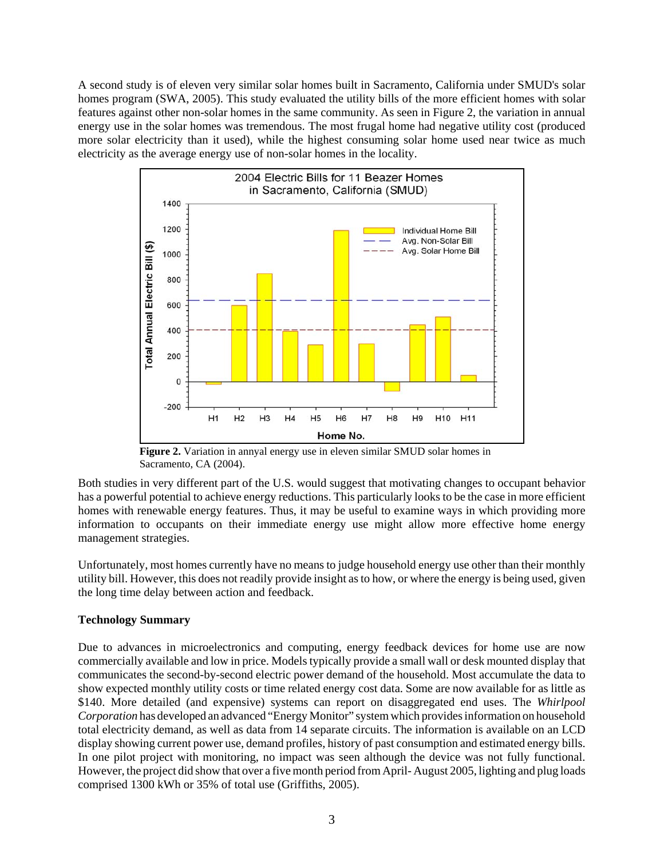A second study is of eleven very similar solar homes built in Sacramento, California under SMUD's solar homes program (SWA, 2005). This study evaluated the utility bills of the more efficient homes with solar features against other non-solar homes in the same community. As seen in Figure 2, the variation in annual energy use in the solar homes was tremendous. The most frugal home had negative utility cost (produced more solar electricity than it used), while the highest consuming solar home used near twice as much electricity as the average energy use of non-solar homes in the locality.



**Figure 2.** Variation in annyal energy use in eleven similar SMUD solar homes in Sacramento, CA (2004).

Both studies in very different part of the U.S. would suggest that motivating changes to occupant behavior has a powerful potential to achieve energy reductions. This particularly looks to be the case in more efficient homes with renewable energy features. Thus, it may be useful to examine ways in which providing more information to occupants on their immediate energy use might allow more effective home energy management strategies.

Unfortunately, most homes currently have no means to judge household energy use other than their monthly utility bill. However, this does not readily provide insight as to how, or where the energy is being used, given the long time delay between action and feedback.

### **Technology Summary**

Due to advances in microelectronics and computing, energy feedback devices for home use are now commercially available and low in price. Models typically provide a small wall or desk mounted display that communicates the second-by-second electric power demand of the household. Most accumulate the data to show expected monthly utility costs or time related energy cost data. Some are now available for as little as \$140. More detailed (and expensive) systems can report on disaggregated end uses. The *Whirlpool Corporation* has developed an advanced "Energy Monitor" system which provides information on household total electricity demand, as well as data from 14 separate circuits. The information is available on an LCD display showing current power use, demand profiles, history of past consumption and estimated energy bills. In one pilot project with monitoring, no impact was seen although the device was not fully functional. However, the project did show that over a five month period from April- August 2005, lighting and plug loads comprised 1300 kWh or 35% of total use (Griffiths, 2005).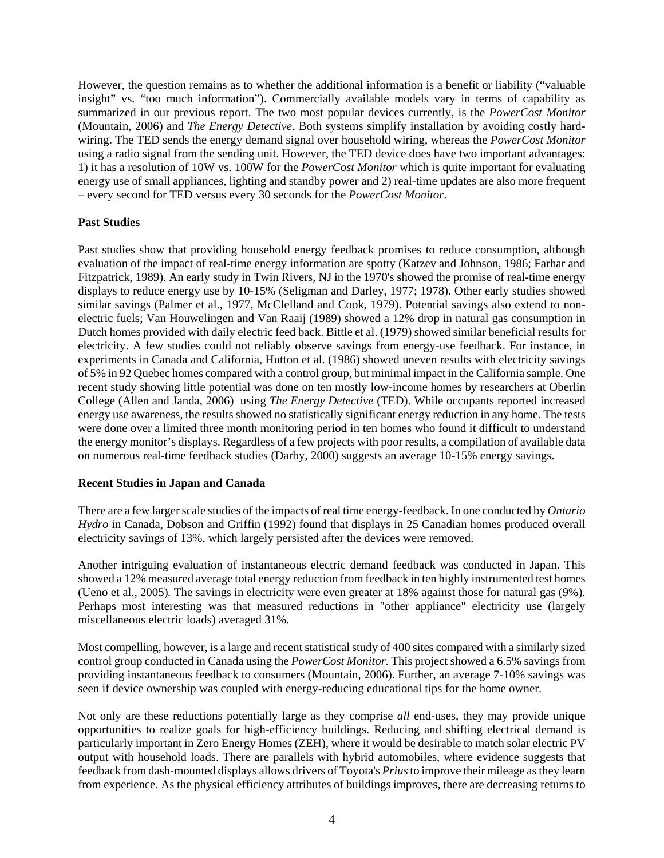However, the question remains as to whether the additional information is a benefit or liability ("valuable insight" vs. "too much information"). Commercially available models vary in terms of capability as summarized in our previous report. The two most popular devices currently, is the *PowerCost Monitor* (Mountain, 2006) and *The Energy Detective*. Both systems simplify installation by avoiding costly hardwiring. The TED sends the energy demand signal over household wiring, whereas the *PowerCost Monitor* using a radio signal from the sending unit. However, the TED device does have two important advantages: 1) it has a resolution of 10W vs. 100W for the *PowerCost Monitor* which is quite important for evaluating energy use of small appliances, lighting and standby power and 2) real-time updates are also more frequent – every second for TED versus every 30 seconds for the *PowerCost Monitor*.

#### **Past Studies**

Past studies show that providing household energy feedback promises to reduce consumption, although evaluation of the impact of real-time energy information are spotty (Katzev and Johnson, 1986; Farhar and Fitzpatrick, 1989). An early study in Twin Rivers, NJ in the 1970's showed the promise of real-time energy displays to reduce energy use by 10-15% (Seligman and Darley, 1977; 1978). Other early studies showed similar savings (Palmer et al., 1977, McClelland and Cook, 1979). Potential savings also extend to nonelectric fuels; Van Houwelingen and Van Raaij (1989) showed a 12% drop in natural gas consumption in Dutch homes provided with daily electric feed back. Bittle et al. (1979) showed similar beneficial results for electricity. A few studies could not reliably observe savings from energy-use feedback. For instance, in experiments in Canada and California, Hutton et al. (1986) showed uneven results with electricity savings of 5% in 92 Quebec homes compared with a control group, but minimal impact in the California sample. One recent study showing little potential was done on ten mostly low-income homes by researchers at Oberlin College (Allen and Janda, 2006) using *The Energy Detective* (TED). While occupants reported increased energy use awareness, the results showed no statistically significant energy reduction in any home. The tests were done over a limited three month monitoring period in ten homes who found it difficult to understand the energy monitor's displays. Regardless of a few projects with poor results, a compilation of available data on numerous real-time feedback studies (Darby, 2000) suggests an average 10-15% energy savings.

#### **Recent Studies in Japan and Canada**

There are a few larger scale studies of the impacts of real time energy-feedback. In one conducted by *Ontario Hydro* in Canada, Dobson and Griffin (1992) found that displays in 25 Canadian homes produced overall electricity savings of 13%, which largely persisted after the devices were removed.

Another intriguing evaluation of instantaneous electric demand feedback was conducted in Japan. This showed a 12% measured average total energy reduction from feedback in ten highly instrumented test homes (Ueno et al., 2005)*.* The savings in electricity were even greater at 18% against those for natural gas (9%). Perhaps most interesting was that measured reductions in "other appliance" electricity use (largely miscellaneous electric loads) averaged 31%.

Most compelling, however, is a large and recent statistical study of 400 sites compared with a similarly sized control group conducted in Canada using the *PowerCost Monitor*. This project showed a 6.5% savings from providing instantaneous feedback to consumers (Mountain, 2006). Further, an average 7-10% savings was seen if device ownership was coupled with energy-reducing educational tips for the home owner.

Not only are these reductions potentially large as they comprise *all* end-uses, they may provide unique opportunities to realize goals for high-efficiency buildings. Reducing and shifting electrical demand is particularly important in Zero Energy Homes (ZEH), where it would be desirable to match solar electric PV output with household loads. There are parallels with hybrid automobiles, where evidence suggests that feedback from dash-mounted displays allows drivers of Toyota's *Prius* to improve their mileage as they learn from experience. As the physical efficiency attributes of buildings improves, there are decreasing returns to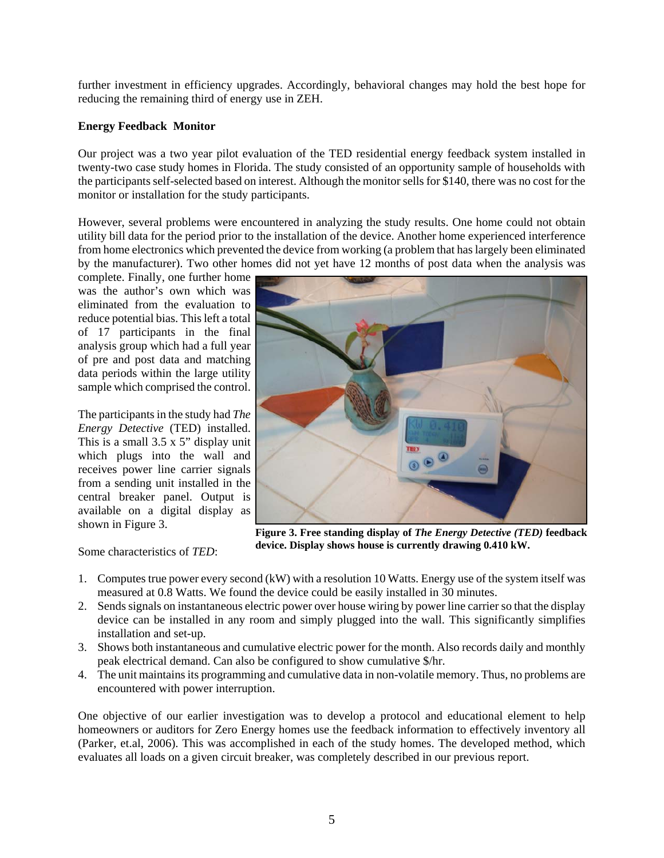further investment in efficiency upgrades. Accordingly, behavioral changes may hold the best hope for reducing the remaining third of energy use in ZEH.

#### **Energy Feedback Monitor**

Our project was a two year pilot evaluation of the TED residential energy feedback system installed in twenty-two case study homes in Florida. The study consisted of an opportunity sample of households with the participants self-selected based on interest. Although the monitor sells for \$140, there was no cost for the monitor or installation for the study participants.

However, several problems were encountered in analyzing the study results. One home could not obtain utility bill data for the period prior to the installation of the device. Another home experienced interference from home electronics which prevented the device from working (a problem that has largely been eliminated by the manufacturer). Two other homes did not yet have 12 months of post data when the analysis was

complete. Finally, one further home was the author's own which was eliminated from the evaluation to reduce potential bias. This left a total of 17 participants in the final analysis group which had a full year of pre and post data and matching data periods within the large utility sample which comprised the control.

The participants in the study had *The Energy Detective* (TED) installed. This is a small 3.5 x 5" display unit which plugs into the wall and receives power line carrier signals from a sending unit installed in the central breaker panel. Output is available on a digital display as shown in Figure 3.

Some characteristics of *TED*:



**Figure 3. Free standing display of** *The Energy Detective (TED)* **feedback device. Display shows house is currently drawing 0.410 kW.**

- 1. Computes true power every second (kW) with a resolution 10 Watts. Energy use of the system itself was measured at 0.8 Watts. We found the device could be easily installed in 30 minutes.
- 2. Sends signals on instantaneous electric power over house wiring by power line carrier so that the display device can be installed in any room and simply plugged into the wall. This significantly simplifies installation and set-up.
- 3. Shows both instantaneous and cumulative electric power for the month. Also records daily and monthly peak electrical demand. Can also be configured to show cumulative \$/hr.
- 4. The unit maintains its programming and cumulative data in non-volatile memory. Thus, no problems are encountered with power interruption.

One objective of our earlier investigation was to develop a protocol and educational element to help homeowners or auditors for Zero Energy homes use the feedback information to effectively inventory all (Parker, et.al, 2006). This was accomplished in each of the study homes. The developed method, which evaluates all loads on a given circuit breaker, was completely described in our previous report.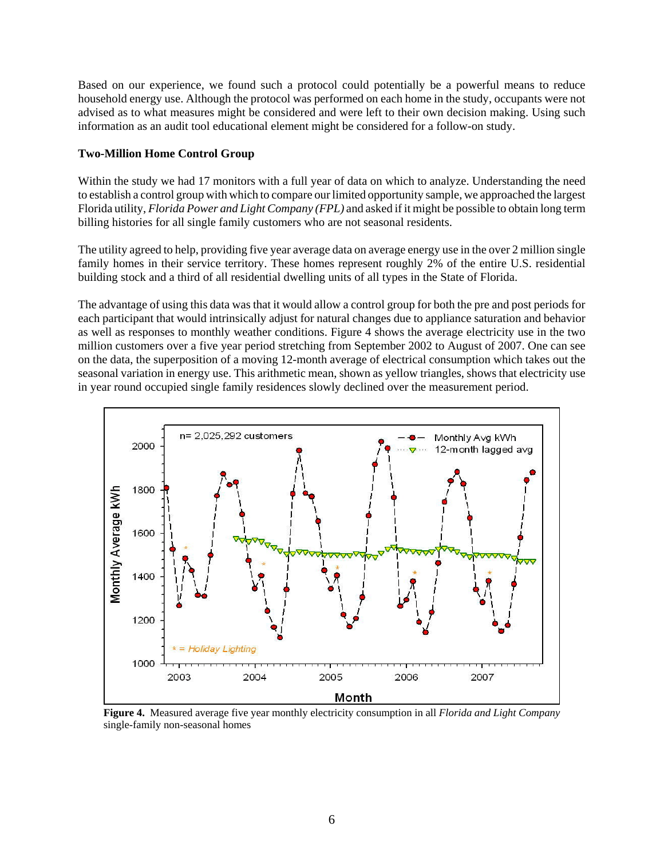Based on our experience, we found such a protocol could potentially be a powerful means to reduce household energy use. Although the protocol was performed on each home in the study, occupants were not advised as to what measures might be considered and were left to their own decision making. Using such information as an audit tool educational element might be considered for a follow-on study.

#### **Two-Million Home Control Group**

Within the study we had 17 monitors with a full year of data on which to analyze. Understanding the need to establish a control group with which to compare our limited opportunity sample, we approached the largest Florida utility, *Florida Power and Light Company (FPL)* and asked if it might be possible to obtain long term billing histories for all single family customers who are not seasonal residents.

The utility agreed to help, providing five year average data on average energy use in the over 2 million single family homes in their service territory. These homes represent roughly 2% of the entire U.S. residential building stock and a third of all residential dwelling units of all types in the State of Florida.

The advantage of using this data was that it would allow a control group for both the pre and post periods for each participant that would intrinsically adjust for natural changes due to appliance saturation and behavior as well as responses to monthly weather conditions. Figure 4 shows the average electricity use in the two million customers over a five year period stretching from September 2002 to August of 2007. One can see on the data, the superposition of a moving 12-month average of electrical consumption which takes out the seasonal variation in energy use. This arithmetic mean, shown as yellow triangles, shows that electricity use in year round occupied single family residences slowly declined over the measurement period.



**Figure 4.** Measured average five year monthly electricity consumption in all *Florida and Light Company* single-family non-seasonal homes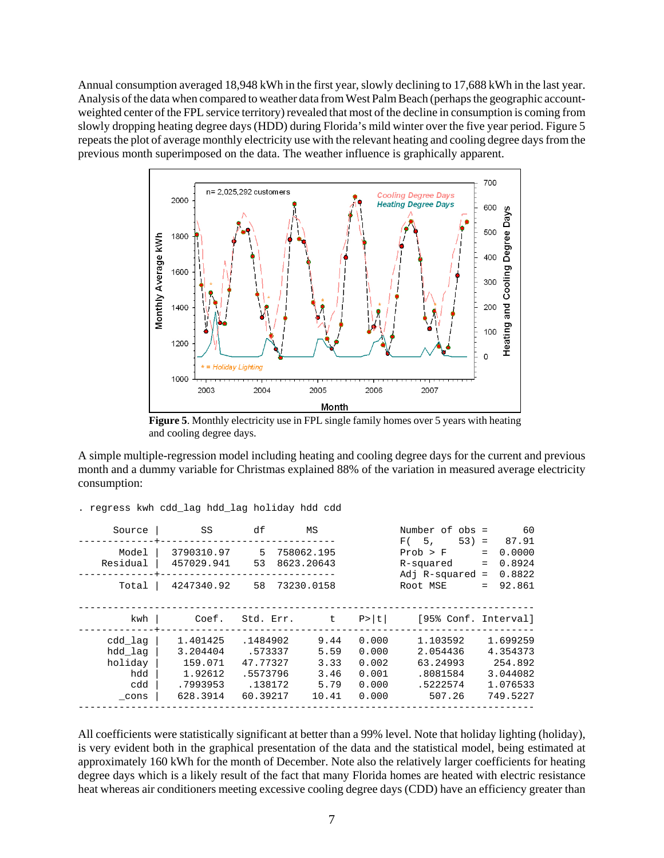Annual consumption averaged 18,948 kWh in the first year, slowly declining to 17,688 kWh in the last year. Analysis of the data when compared to weather data from West Palm Beach (perhaps the geographic accountweighted center of the FPL service territory) revealed that most of the decline in consumption is coming from slowly dropping heating degree days (HDD) during Florida's mild winter over the five year period. Figure 5 repeats the plot of average monthly electricity use with the relevant heating and cooling degree days from the previous month superimposed on the data. The weather influence is graphically apparent.



**Figure 5**. Monthly electricity use in FPL single family homes over 5 years with heating and cooling degree days.

A simple multiple-regression model including heating and cooling degree days for the current and previous month and a dummy variable for Christmas explained 88% of the variation in measured average electricity consumption:

| Source                                              | SS                                                                 | df                                                                 | МS                                            |                                                    | Number of obs =<br>F(5,<br>$53) =$                                 | 60<br>87.91                                                         |
|-----------------------------------------------------|--------------------------------------------------------------------|--------------------------------------------------------------------|-----------------------------------------------|----------------------------------------------------|--------------------------------------------------------------------|---------------------------------------------------------------------|
| Model<br>Residual                                   | 3790310.97<br>457029.941                                           | 5<br>53                                                            | 758062.195<br>8623.20643                      |                                                    | Prob > F<br>R-squared<br>Adj $R$ -squared =                        | 0.0000<br>$=$<br>0.8924<br>$=$<br>0.8822                            |
| Total                                               | 4247340.92                                                         | 58                                                                 | 73230.0158                                    |                                                    | Root MSE                                                           | 92.861<br>$=$                                                       |
| kwh                                                 | Coef.                                                              | Std. Err.                                                          | $t$ .                                         | P >  t                                             | [95% Conf. Interval]                                               |                                                                     |
| cdd lag<br>hdd lag<br>holiday<br>hdd<br>cdd<br>cons | 1.401425<br>3.204404<br>159.071<br>1.92612<br>.7993953<br>628.3914 | .1484902<br>.573337<br>47.77327<br>.5573796<br>.138172<br>60.39217 | 9.44<br>5.59<br>3.33<br>3.46<br>5.79<br>10.41 | 0.000<br>0.000<br>0.002<br>0.001<br>0.000<br>0.000 | 1.103592<br>2.054436<br>63.24993<br>.8081584<br>.5222574<br>507.26 | 1.699259<br>4.354373<br>254.892<br>3.044082<br>1.076533<br>749.5227 |

|  | . regress kwh cdd_lag hdd_lag holiday hdd cdd |  |  |  |  |  |  |  |  |
|--|-----------------------------------------------|--|--|--|--|--|--|--|--|
|--|-----------------------------------------------|--|--|--|--|--|--|--|--|

All coefficients were statistically significant at better than a 99% level. Note that holiday lighting (holiday), is very evident both in the graphical presentation of the data and the statistical model, being estimated at approximately 160 kWh for the month of December. Note also the relatively larger coefficients for heating degree days which is a likely result of the fact that many Florida homes are heated with electric resistance heat whereas air conditioners meeting excessive cooling degree days (CDD) have an efficiency greater than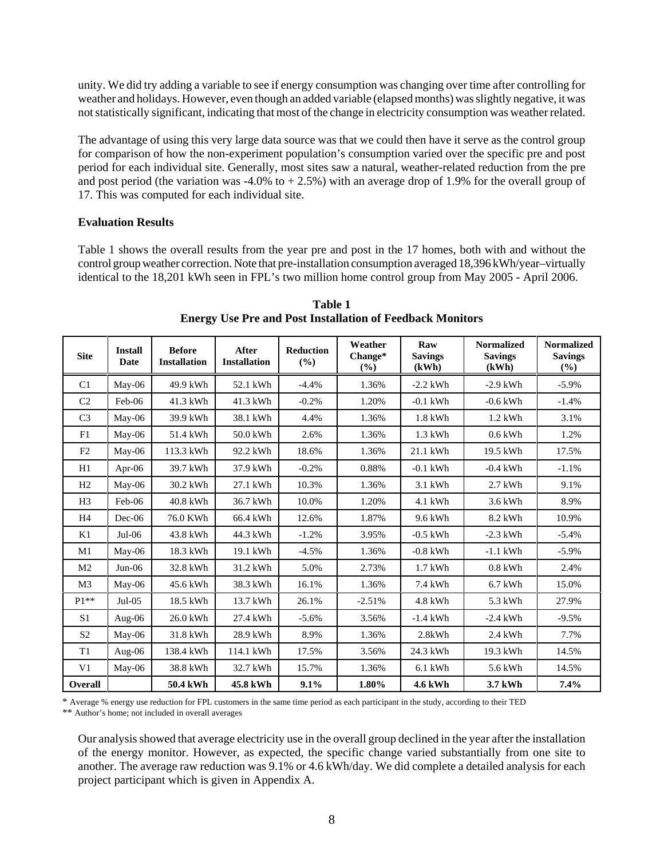unity. We did try adding a variable to see if energy consumption was changing over time after controlling for weather and holidays. However, even though an added variable (elapsed months) was slightly negative, it was not statistically significant, indicating that most of the change in electricity consumption was weather related.

The advantage of using this very large data source was that we could then have it serve as the control group for comparison of how the non-experiment population's consumption varied over the specific pre and post period for each individual site. Generally, most sites saw a natural, weather-related reduction from the pre and post period (the variation was  $-4.0\%$  to  $+2.5\%$ ) with an average drop of 1.9% for the overall group of 17. This was computed for each individual site.

#### **Evaluation Results**

Table 1 shows the overall results from the year pre and post in the 17 homes, both with and without the control group weather correction. Note that pre-installation consumption averaged 18,396 kWh/year–virtually identical to the 18,201 kWh seen in FPL's two million home control group from May 2005 - April 2006.

| <b>Site</b>    | <b>Install</b><br><b>Date</b> | <b>Before</b><br><b>Installation</b> | After<br><b>Installation</b> | <b>Reduction</b><br>(%) | Weather<br>Change*<br>$($ %) | Raw<br><b>Savings</b><br>(kWh) | <b>Normalized</b><br><b>Savings</b><br>(kWh) | <b>Normalized</b><br><b>Savings</b><br>(%) |
|----------------|-------------------------------|--------------------------------------|------------------------------|-------------------------|------------------------------|--------------------------------|----------------------------------------------|--------------------------------------------|
| C <sub>1</sub> | $Mav-06$                      | 49.9 kWh                             | 52.1 kWh                     | $-4.4%$                 | 1.36%                        | $-2.2$ kWh                     | $-2.9$ kWh                                   | $-5.9\%$                                   |
| C <sub>2</sub> | $Feb-06$                      | 41.3 kWh                             | 41.3 kWh                     | $-0.2%$                 | 1.20%                        | $-0.1$ kWh                     | $-0.6$ kWh                                   | $-1.4%$                                    |
| C <sub>3</sub> | $Mav-06$                      | 39.9 kWh                             | 38.1 kWh                     | 4.4%                    | 1.36%                        | $1.8$ kWh                      | $1.2$ kWh                                    | 3.1%                                       |
| F1             | May-06                        | 51.4 kWh                             | 50.0 kWh                     | 2.6%                    | 1.36%                        | $1.3$ kWh                      | $0.6$ kWh                                    | 1.2%                                       |
| F <sub>2</sub> | $Mav-06$                      | 113.3 kWh                            | 92.2 kWh                     | 18.6%                   | 1.36%                        | 21.1 kWh                       | 19.5 kWh                                     | 17.5%                                      |
| H1             | Apr- $06$                     | 39.7 kWh                             | 37.9 kWh                     | $-0.2%$                 | 0.88%                        | $-0.1$ kWh                     | $-0.4$ kWh                                   | $-1.1%$                                    |
| H <sub>2</sub> | May-06                        | 30.2 kWh                             | 27.1 kWh                     | 10.3%                   | 1.36%                        | $3.1$ kWh                      | $2.7$ kWh                                    | 9.1%                                       |
| H <sub>3</sub> | $Feb-06$                      | 40.8 kWh                             | 36.7 kWh                     | 10.0%                   | 1.20%                        | $4.1$ kWh                      | 3.6 kWh                                      | 8.9%                                       |
| H <sub>4</sub> | $Dec-06$                      | 76.0 KWh                             | 66.4 kWh                     | 12.6%                   | 1.87%                        | 9.6 kWh                        | 8.2 kWh                                      | 10.9%                                      |
| K1             | $Jul-06$                      | 43.8 kWh                             | 44.3 kWh                     | $-1.2%$                 | 3.95%                        | $-0.5$ kWh                     | $-2.3$ kWh                                   | $-5.4%$                                    |
| M1             | May-06                        | 18.3 kWh                             | 19.1 kWh                     | $-4.5%$                 | 1.36%                        | $-0.8$ kWh                     | $-1.1$ kWh                                   | $-5.9%$                                    |
| M <sub>2</sub> | $Jun-06$                      | 32.8 kWh                             | 31.2 kWh                     | 5.0%                    | 2.73%                        | $1.7$ kWh                      | $0.8$ kWh                                    | 2.4%                                       |
| M <sub>3</sub> | $Mav-06$                      | 45.6 kWh                             | 38.3 kWh                     | 16.1%                   | 1.36%                        | 7.4 kWh                        | $6.7$ kWh                                    | 15.0%                                      |
| $P1**$         | $Jul-05$                      | 18.5 kWh                             | 13.7 kWh                     | 26.1%                   | $-2.51%$                     | 4.8 kWh                        | 5.3 kWh                                      | 27.9%                                      |
| S <sub>1</sub> | Aug-06                        | 26.0 kWh                             | 27.4 kWh                     | $-5.6%$                 | 3.56%                        | $-1.4$ kWh                     | $-2.4$ kWh                                   | $-9.5%$                                    |
| S <sub>2</sub> | $M$ ay-06                     | 31.8 kWh                             | 28.9 kWh                     | 8.9%                    | 1.36%                        | 2.8kWh                         | 2.4 kWh                                      | 7.7%                                       |
| T1             | Aug- $06$                     | 138.4 kWh                            | 114.1 kWh                    | 17.5%                   | 3.56%                        | 24.3 kWh                       | 19.3 kWh                                     | 14.5%                                      |
| V <sub>1</sub> | May-06                        | 38.8 kWh                             | 32.7 kWh                     | 15.7%                   | 1.36%                        | $6.1$ kWh                      | 5.6 kWh                                      | 14.5%                                      |
| Overall        |                               | 50.4 kWh                             | 45.8 kWh                     | 9.1%                    | 1.80%                        | <b>4.6 kWh</b>                 | 3.7 kWh                                      | 7.4%                                       |

**Table 1 Energy Use Pre and Post Installation of Feedback Monitors**

\* Average % energy use reduction for FPL customers in the same time period as each participant in the study, according to their TED \*\* Author's home; not included in overall averages

Our analysis showed that average electricity use in the overall group declined in the year after the installation of the energy monitor. However, as expected, the specific change varied substantially from one site to another. The average raw reduction was 9.1% or 4.6 kWh/day. We did complete a detailed analysis for each project participant which is given in Appendix A.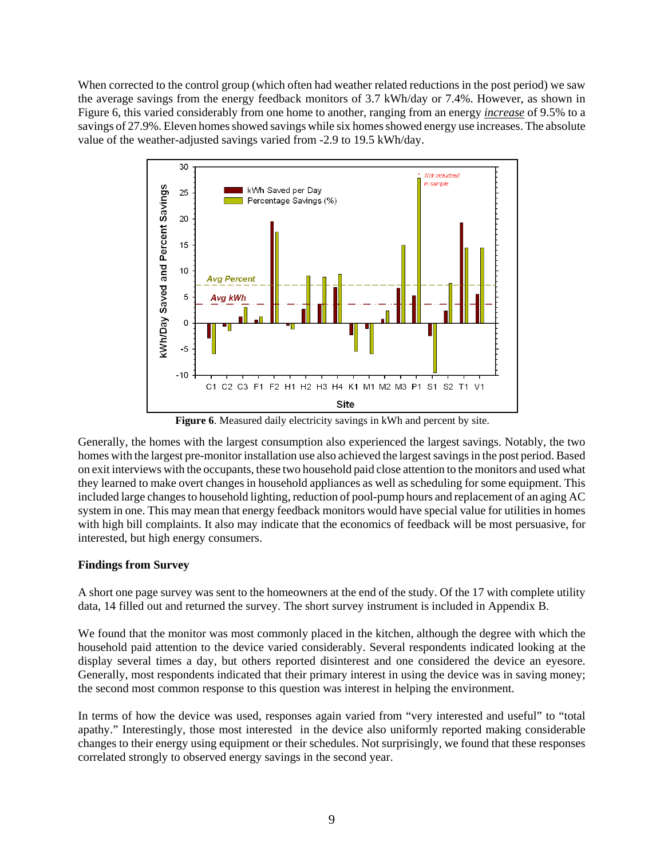When corrected to the control group (which often had weather related reductions in the post period) we saw the average savings from the energy feedback monitors of 3.7 kWh/day or 7.4%. However, as shown in Figure 6, this varied considerably from one home to another, ranging from an energy *increase* of 9.5% to a savings of 27.9%. Eleven homes showed savings while six homes showed energy use increases. The absolute value of the weather-adjusted savings varied from -2.9 to 19.5 kWh/day.



**Figure 6**. Measured daily electricity savings in kWh and percent by site.

Generally, the homes with the largest consumption also experienced the largest savings. Notably, the two homes with the largest pre-monitor installation use also achieved the largest savings in the post period. Based on exit interviews with the occupants, these two household paid close attention to the monitors and used what they learned to make overt changes in household appliances as well as scheduling for some equipment. This included large changes to household lighting, reduction of pool-pump hours and replacement of an aging AC system in one. This may mean that energy feedback monitors would have special value for utilities in homes with high bill complaints. It also may indicate that the economics of feedback will be most persuasive, for interested, but high energy consumers.

#### **Findings from Survey**

A short one page survey was sent to the homeowners at the end of the study. Of the 17 with complete utility data, 14 filled out and returned the survey. The short survey instrument is included in Appendix B.

We found that the monitor was most commonly placed in the kitchen, although the degree with which the household paid attention to the device varied considerably. Several respondents indicated looking at the display several times a day, but others reported disinterest and one considered the device an eyesore. Generally, most respondents indicated that their primary interest in using the device was in saving money; the second most common response to this question was interest in helping the environment.

In terms of how the device was used, responses again varied from "very interested and useful" to "total apathy." Interestingly, those most interested in the device also uniformly reported making considerable changes to their energy using equipment or their schedules. Not surprisingly, we found that these responses correlated strongly to observed energy savings in the second year.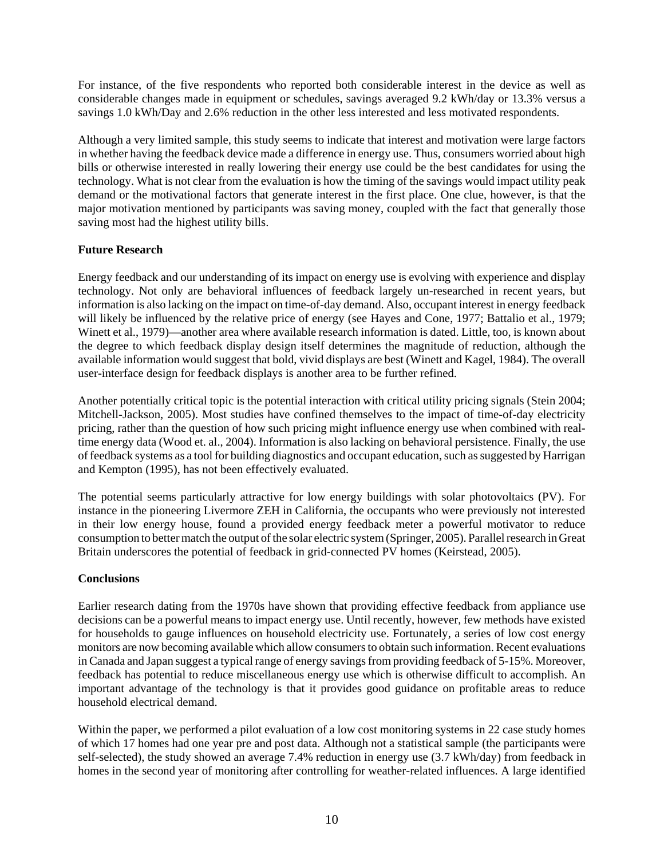For instance, of the five respondents who reported both considerable interest in the device as well as considerable changes made in equipment or schedules, savings averaged 9.2 kWh/day or 13.3% versus a savings 1.0 kWh/Day and 2.6% reduction in the other less interested and less motivated respondents.

Although a very limited sample, this study seems to indicate that interest and motivation were large factors in whether having the feedback device made a difference in energy use. Thus, consumers worried about high bills or otherwise interested in really lowering their energy use could be the best candidates for using the technology. What is not clear from the evaluation is how the timing of the savings would impact utility peak demand or the motivational factors that generate interest in the first place. One clue, however, is that the major motivation mentioned by participants was saving money, coupled with the fact that generally those saving most had the highest utility bills.

#### **Future Research**

Energy feedback and our understanding of its impact on energy use is evolving with experience and display technology. Not only are behavioral influences of feedback largely un-researched in recent years, but information is also lacking on the impact on time-of-day demand. Also, occupant interest in energy feedback will likely be influenced by the relative price of energy (see Hayes and Cone, 1977; Battalio et al., 1979; Winett et al., 1979)—another area where available research information is dated. Little, too, is known about the degree to which feedback display design itself determines the magnitude of reduction, although the available information would suggest that bold, vivid displays are best (Winett and Kagel, 1984). The overall user-interface design for feedback displays is another area to be further refined.

Another potentially critical topic is the potential interaction with critical utility pricing signals (Stein 2004; Mitchell-Jackson, 2005). Most studies have confined themselves to the impact of time-of-day electricity pricing, rather than the question of how such pricing might influence energy use when combined with realtime energy data (Wood et. al., 2004). Information is also lacking on behavioral persistence. Finally, the use of feedback systems as a tool for building diagnostics and occupant education, such as suggested by Harrigan and Kempton (1995), has not been effectively evaluated.

The potential seems particularly attractive for low energy buildings with solar photovoltaics (PV). For instance in the pioneering Livermore ZEH in California, the occupants who were previously not interested in their low energy house, found a provided energy feedback meter a powerful motivator to reduce consumption to better match the output of the solar electric system (Springer, 2005). Parallel research in Great Britain underscores the potential of feedback in grid-connected PV homes (Keirstead, 2005).

### **Conclusions**

Earlier research dating from the 1970s have shown that providing effective feedback from appliance use decisions can be a powerful means to impact energy use. Until recently, however, few methods have existed for households to gauge influences on household electricity use. Fortunately, a series of low cost energy monitors are now becoming available which allow consumers to obtain such information. Recent evaluations in Canada and Japan suggest a typical range of energy savings from providing feedback of 5-15%. Moreover, feedback has potential to reduce miscellaneous energy use which is otherwise difficult to accomplish. An important advantage of the technology is that it provides good guidance on profitable areas to reduce household electrical demand.

Within the paper, we performed a pilot evaluation of a low cost monitoring systems in 22 case study homes of which 17 homes had one year pre and post data. Although not a statistical sample (the participants were self-selected), the study showed an average 7.4% reduction in energy use (3.7 kWh/day) from feedback in homes in the second year of monitoring after controlling for weather-related influences. A large identified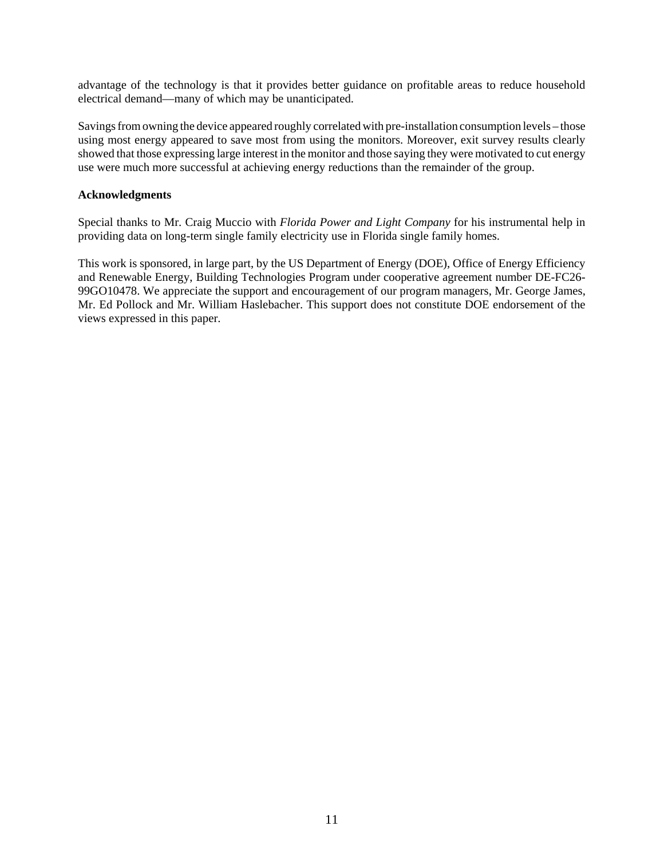advantage of the technology is that it provides better guidance on profitable areas to reduce household electrical demand—many of which may be unanticipated.

Savings from owning the device appeared roughly correlated with pre-installation consumption levels – those using most energy appeared to save most from using the monitors. Moreover, exit survey results clearly showed that those expressing large interest in the monitor and those saying they were motivated to cut energy use were much more successful at achieving energy reductions than the remainder of the group.

#### **Acknowledgments**

Special thanks to Mr. Craig Muccio with *Florida Power and Light Company* for his instrumental help in providing data on long-term single family electricity use in Florida single family homes.

This work is sponsored, in large part, by the US Department of Energy (DOE), Office of Energy Efficiency and Renewable Energy, Building Technologies Program under cooperative agreement number DE-FC26- 99GO10478. We appreciate the support and encouragement of our program managers, Mr. George James, Mr. Ed Pollock and Mr. William Haslebacher. This support does not constitute DOE endorsement of the views expressed in this paper.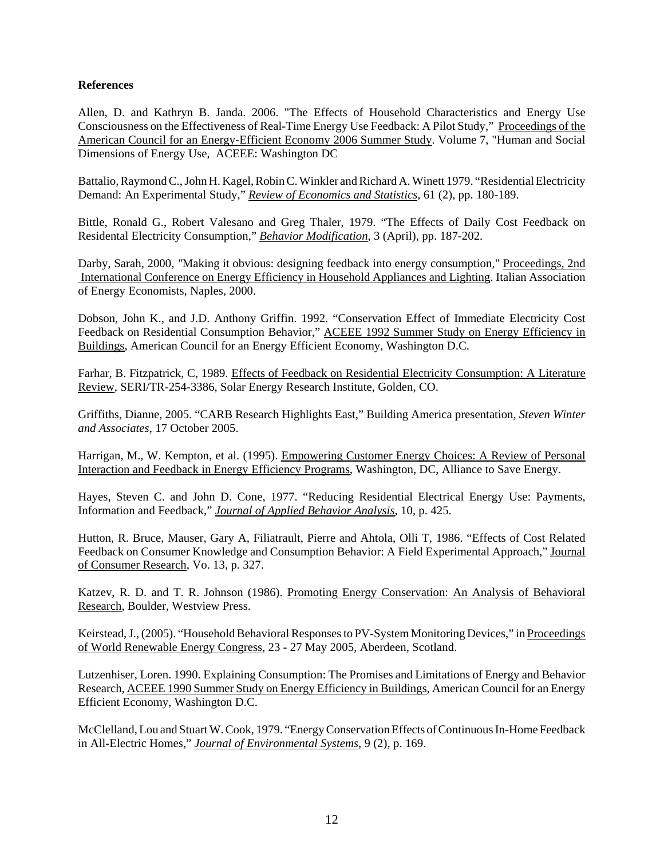#### **References**

Allen, D. and Kathryn B. Janda. 2006. "The Effects of Household Characteristics and Energy Use Consciousness on the Effectiveness of Real-Time Energy Use Feedback: A Pilot Study," Proceedings of the American Council for an Energy-Efficient Economy 2006 Summer Study. Volume 7, "Human and Social Dimensions of Energy Use, ACEEE: Washington DC

Battalio, Raymond C., John H. Kagel, Robin C. Winkler and Richard A. Winett 1979. "Residential Electricity Demand: An Experimental Study," *Review of Economics and Statistics*, 61 (2), pp. 180-189.

Bittle, Ronald G., Robert Valesano and Greg Thaler, 1979. "The Effects of Daily Cost Feedback on Residental Electricity Consumption," *Behavior Modification*, 3 (April), pp. 187-202.

Darby, Sarah, 2000, *"*Making it obvious: designing feedback into energy consumption," Proceedings, 2nd International Conference on Energy Efficiency in Household Appliances and Lighting. Italian Association of Energy Economists, Naples, 2000.

Dobson, John K., and J.D. Anthony Griffin. 1992. "Conservation Effect of Immediate Electricity Cost Feedback on Residential Consumption Behavior," ACEEE 1992 Summer Study on Energy Efficiency in Buildings, American Council for an Energy Efficient Economy, Washington D.C.

Farhar, B. Fitzpatrick, C, 1989. Effects of Feedback on Residential Electricity Consumption: A Literature Review, SERI/TR-254-3386, Solar Energy Research Institute, Golden, CO.

Griffiths, Dianne, 2005. "CARB Research Highlights East," Building America presentation, *Steven Winter and Associates*, 17 October 2005.

Harrigan, M., W. Kempton, et al. (1995). Empowering Customer Energy Choices: A Review of Personal Interaction and Feedback in Energy Efficiency Programs, Washington, DC, Alliance to Save Energy.

Hayes, Steven C. and John D. Cone, 1977. "Reducing Residential Electrical Energy Use: Payments, Information and Feedback," *Journal of Applied Behavior Analysis*, 10, p. 425.

Hutton, R. Bruce, Mauser, Gary A, Filiatrault, Pierre and Ahtola, Olli T, 1986. "Effects of Cost Related Feedback on Consumer Knowledge and Consumption Behavior: A Field Experimental Approach," Journal of Consumer Research, Vo. 13, p. 327.

Katzev, R. D. and T. R. Johnson (1986). Promoting Energy Conservation: An Analysis of Behavioral Research, Boulder, Westview Press.

Keirstead, J., (2005). "Household Behavioral Responses to PV-System Monitoring Devices," in Proceedings of World Renewable Energy Congress, 23 - 27 May 2005, Aberdeen, Scotland.

Lutzenhiser, Loren. 1990. Explaining Consumption: The Promises and Limitations of Energy and Behavior Research, ACEEE 1990 Summer Study on Energy Efficiency in Buildings, American Council for an Energy Efficient Economy, Washington D.C.

McClelland, Lou and Stuart W. Cook, 1979. "Energy Conservation Effects of Continuous In-Home Feedback in All-Electric Homes," *Journal of Environmental Systems*, 9 (2), p. 169.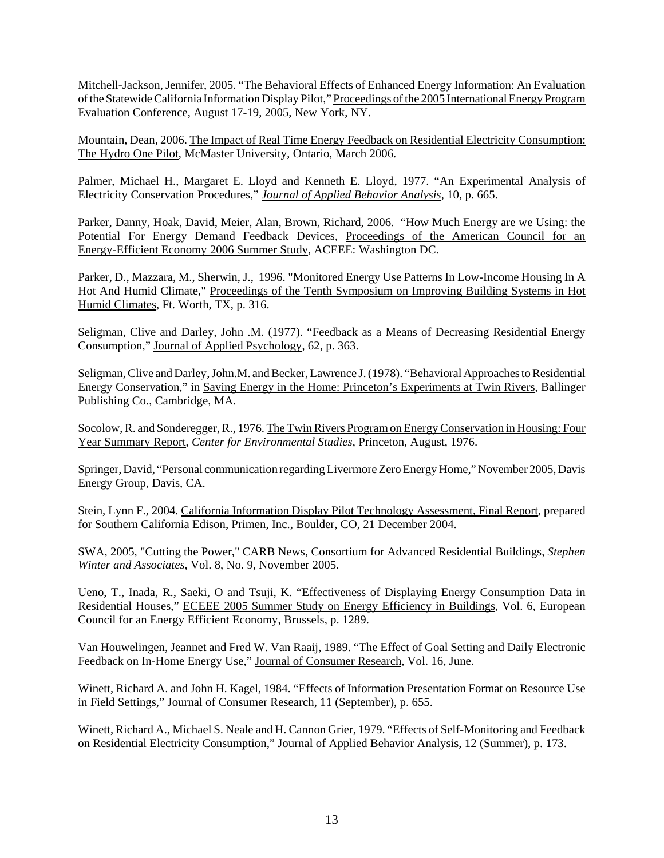Mitchell-Jackson, Jennifer, 2005. "The Behavioral Effects of Enhanced Energy Information: An Evaluation of the Statewide California Information Display Pilot," Proceedings of the 2005 International Energy Program Evaluation Conference, August 17-19, 2005, New York, NY.

Mountain, Dean, 2006. The Impact of Real Time Energy Feedback on Residential Electricity Consumption: The Hydro One Pilot, McMaster University, Ontario, March 2006.

Palmer, Michael H., Margaret E. Lloyd and Kenneth E. Lloyd, 1977. "An Experimental Analysis of Electricity Conservation Procedures," *Journal of Applied Behavior Analysis*, 10, p. 665.

Parker, Danny, Hoak, David, Meier, Alan, Brown, Richard, 2006. "How Much Energy are we Using: the Potential For Energy Demand Feedback Devices, Proceedings of the American Council for an Energy-Efficient Economy 2006 Summer Study, ACEEE: Washington DC.

Parker, D., Mazzara, M., Sherwin, J., 1996. "Monitored Energy Use Patterns In Low-Income Housing In A Hot And Humid Climate," Proceedings of the Tenth Symposium on Improving Building Systems in Hot Humid Climates, Ft. Worth, TX, p. 316.

Seligman, Clive and Darley, John .M. (1977). "Feedback as a Means of Decreasing Residential Energy Consumption," Journal of Applied Psychology, 62, p. 363.

Seligman, Clive and Darley, John.M. and Becker, Lawrence J. (1978). "Behavioral Approaches to Residential Energy Conservation," in Saving Energy in the Home: Princeton's Experiments at Twin Rivers, Ballinger Publishing Co., Cambridge, MA.

Socolow, R. and Sonderegger, R., 1976. The Twin Rivers Program on Energy Conservation in Housing: Four Year Summary Report, *Center for Environmental Studies*, Princeton, August, 1976.

Springer, David, "Personal communication regarding Livermore Zero Energy Home," November 2005, Davis Energy Group, Davis, CA.

Stein, Lynn F., 2004. California Information Display Pilot Technology Assessment, Final Report, prepared for Southern California Edison, Primen, Inc., Boulder, CO, 21 December 2004.

SWA, 2005, "Cutting the Power," CARB News, Consortium for Advanced Residential Buildings, *Stephen Winter and Associates*, Vol. 8, No. 9, November 2005.

Ueno, T., Inada, R., Saeki, O and Tsuji, K. "Effectiveness of Displaying Energy Consumption Data in Residential Houses," ECEEE 2005 Summer Study on Energy Efficiency in Buildings, Vol. 6, European Council for an Energy Efficient Economy, Brussels, p. 1289.

Van Houwelingen, Jeannet and Fred W. Van Raaij, 1989. "The Effect of Goal Setting and Daily Electronic Feedback on In-Home Energy Use," Journal of Consumer Research, Vol. 16, June.

Winett, Richard A. and John H. Kagel, 1984. "Effects of Information Presentation Format on Resource Use in Field Settings," Journal of Consumer Research, 11 (September), p. 655.

Winett, Richard A., Michael S. Neale and H. Cannon Grier, 1979. "Effects of Self-Monitoring and Feedback on Residential Electricity Consumption," Journal of Applied Behavior Analysis, 12 (Summer), p. 173.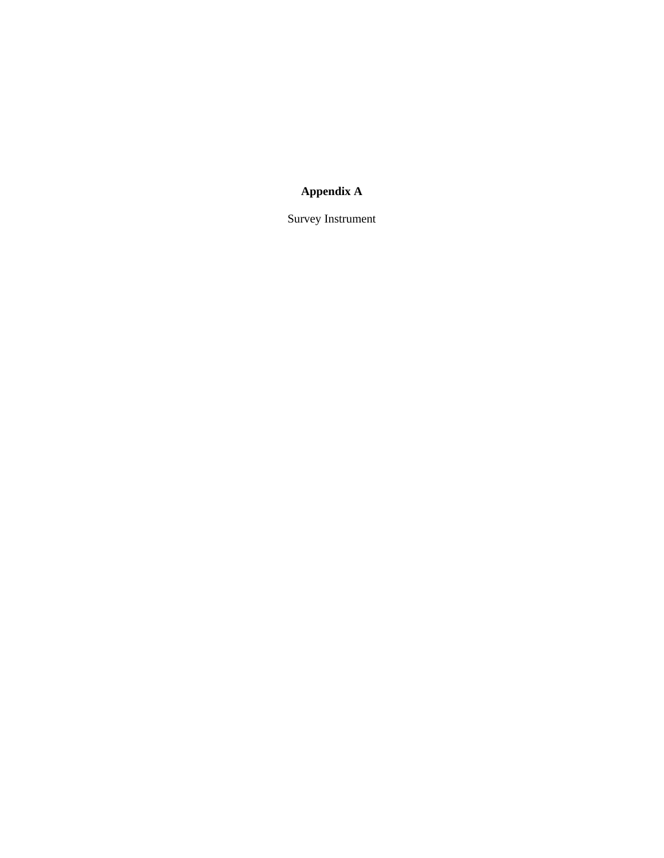## **Appendix A**

Survey Instrument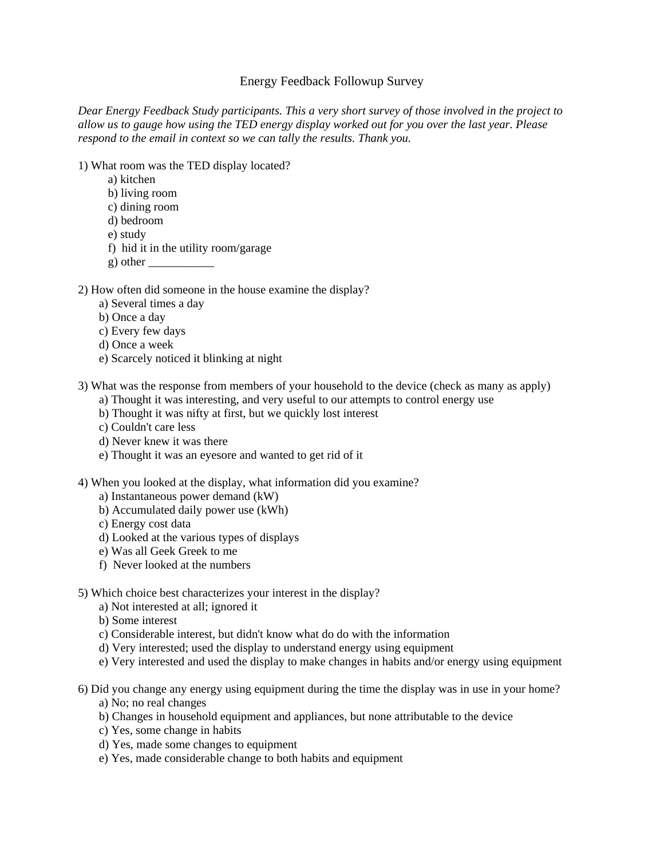### Energy Feedback Followup Survey

*Dear Energy Feedback Study participants. This a very short survey of those involved in the project to allow us to gauge how using the TED energy display worked out for you over the last year. Please respond to the email in context so we can tally the results. Thank you.*

- 1) What room was the TED display located?
	- a) kitchen
	- b) living room
	- c) dining room
	- d) bedroom
	- e) study
	- f) hid it in the utility room/garage
	- g) other \_\_\_\_\_\_\_\_\_\_\_

#### 2) How often did someone in the house examine the display?

- a) Several times a day
- b) Once a day
- c) Every few days
- d) Once a week
- e) Scarcely noticed it blinking at night

3) What was the response from members of your household to the device (check as many as apply)

- a) Thought it was interesting, and very useful to our attempts to control energy use
- b) Thought it was nifty at first, but we quickly lost interest
- c) Couldn't care less
- d) Never knew it was there
- e) Thought it was an eyesore and wanted to get rid of it
- 4) When you looked at the display, what information did you examine?
	- a) Instantaneous power demand (kW)
	- b) Accumulated daily power use (kWh)
	- c) Energy cost data
	- d) Looked at the various types of displays
	- e) Was all Geek Greek to me
	- f) Never looked at the numbers

#### 5) Which choice best characterizes your interest in the display?

- a) Not interested at all; ignored it
- b) Some interest
- c) Considerable interest, but didn't know what do do with the information
- d) Very interested; used the display to understand energy using equipment
- e) Very interested and used the display to make changes in habits and/or energy using equipment
- 6) Did you change any energy using equipment during the time the display was in use in your home?
	- a) No; no real changes
	- b) Changes in household equipment and appliances, but none attributable to the device
	- c) Yes, some change in habits
	- d) Yes, made some changes to equipment
	- e) Yes, made considerable change to both habits and equipment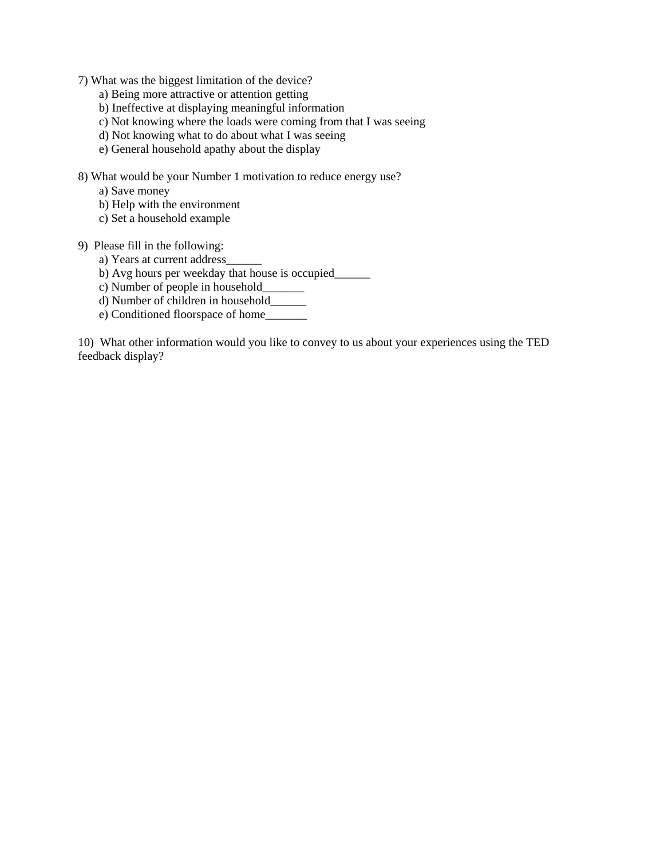7) What was the biggest limitation of the device?

- a) Being more attractive or attention getting
- b) Ineffective at displaying meaningful information
- c) Not knowing where the loads were coming from that I was seeing
- d) Not knowing what to do about what I was seeing
- e) General household apathy about the display

8) What would be your Number 1 motivation to reduce energy use?

- a) Save money
- b) Help with the environment
- c) Set a household example
- 9) Please fill in the following:
	- a) Years at current address\_\_\_\_\_\_
	- b) Avg hours per weekday that house is occupied\_\_\_\_\_\_
	- c) Number of people in household\_\_\_\_\_\_\_
	- d) Number of children in household\_\_\_\_\_\_
	- e) Conditioned floorspace of home\_\_\_\_\_\_\_

10) What other information would you like to convey to us about your experiences using the TED feedback display?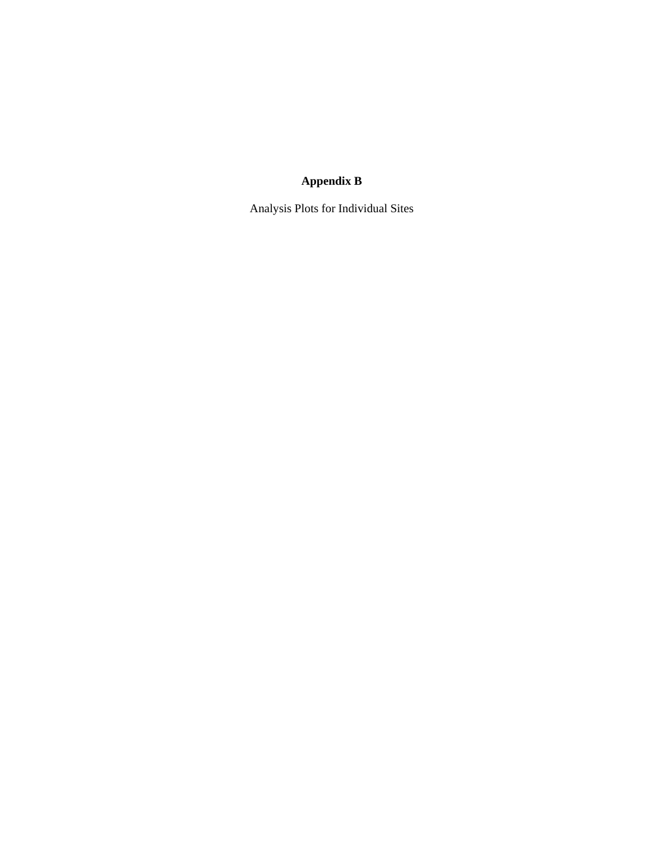## **Appendix B**

Analysis Plots for Individual Sites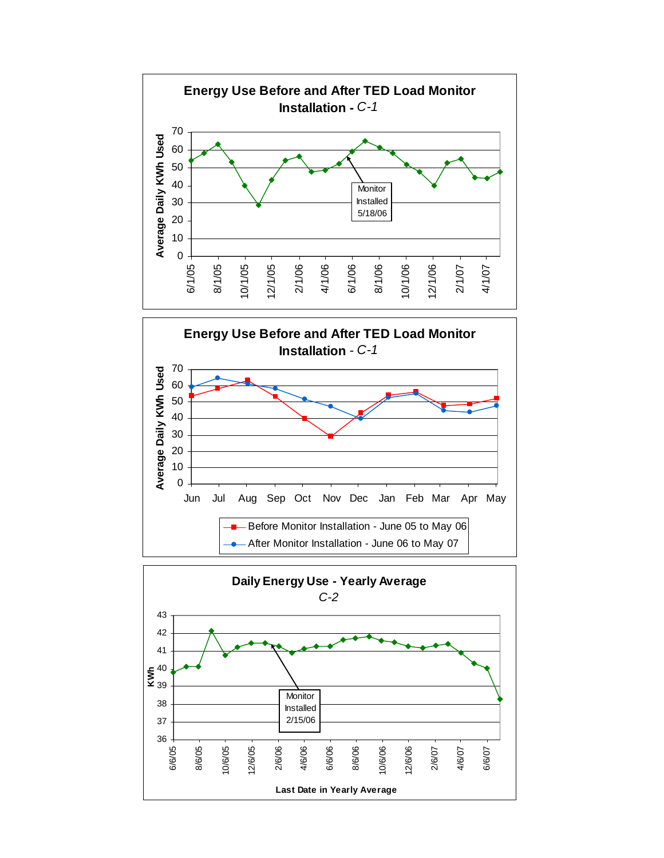



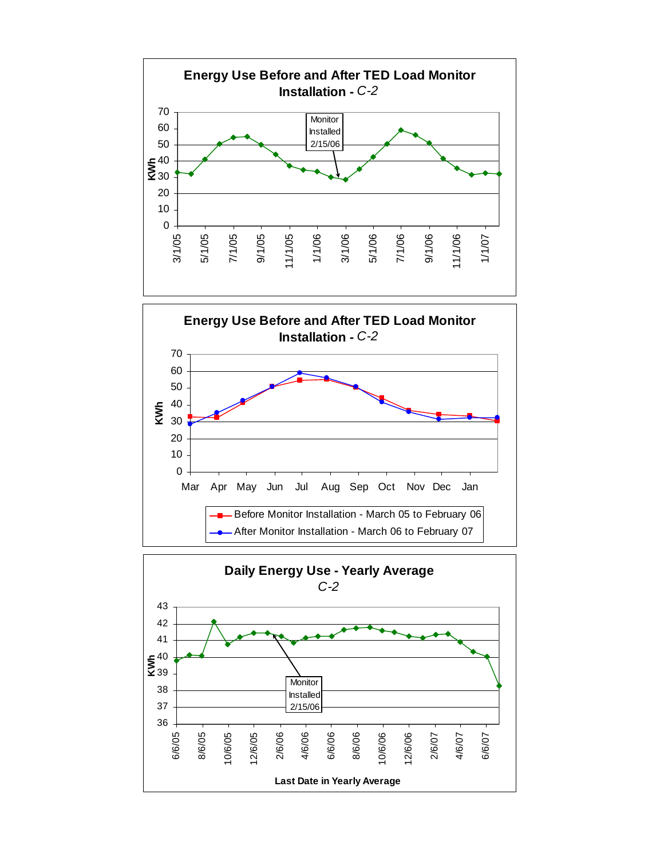



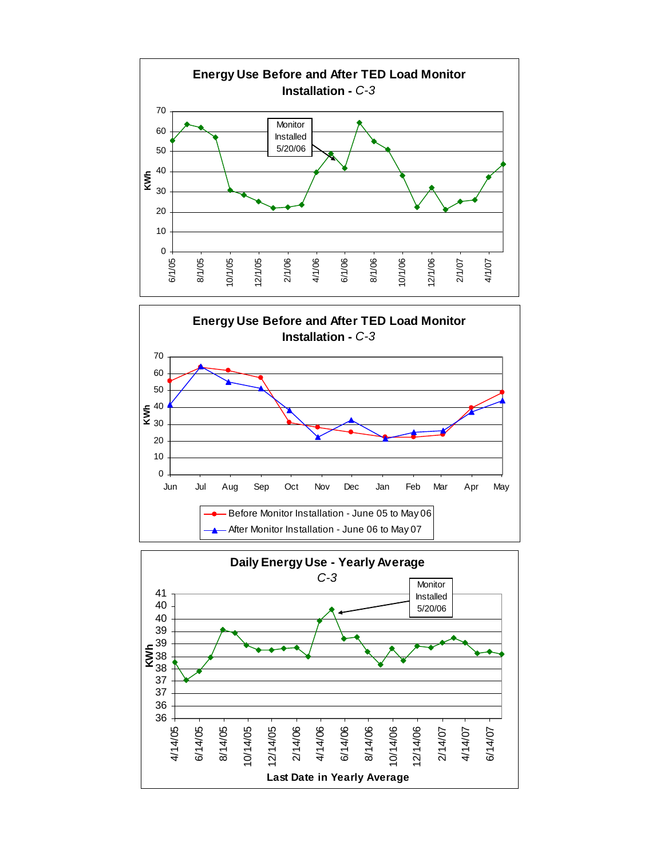

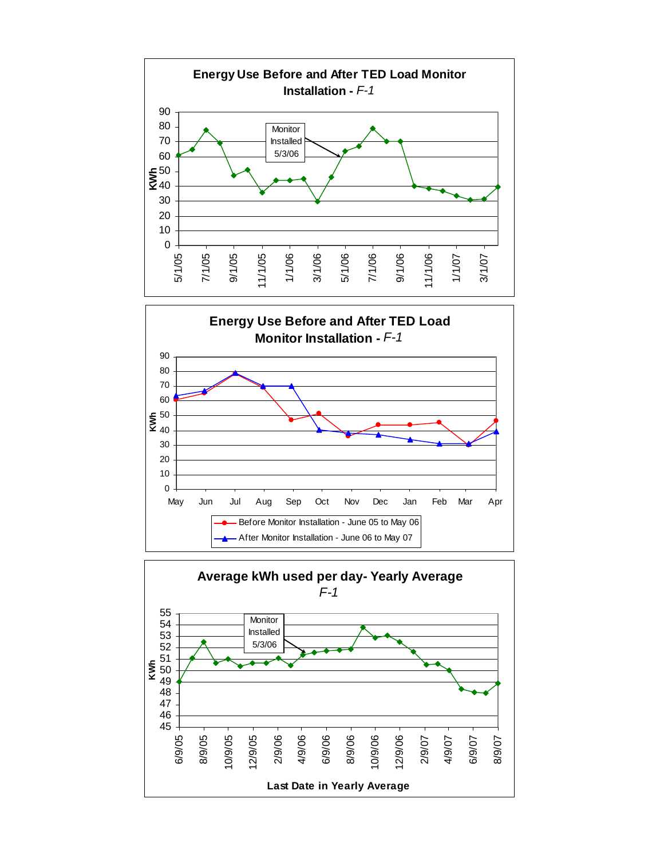



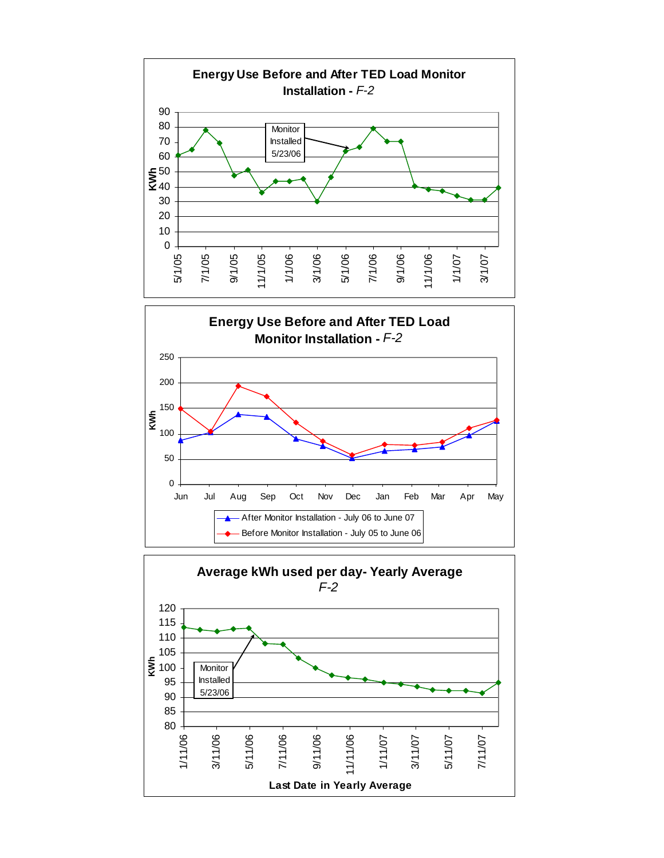



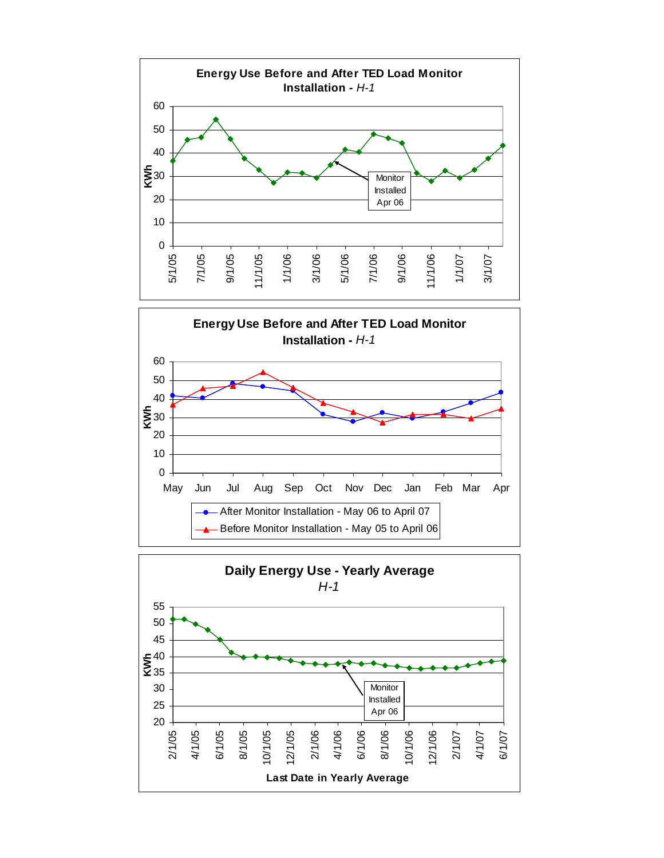



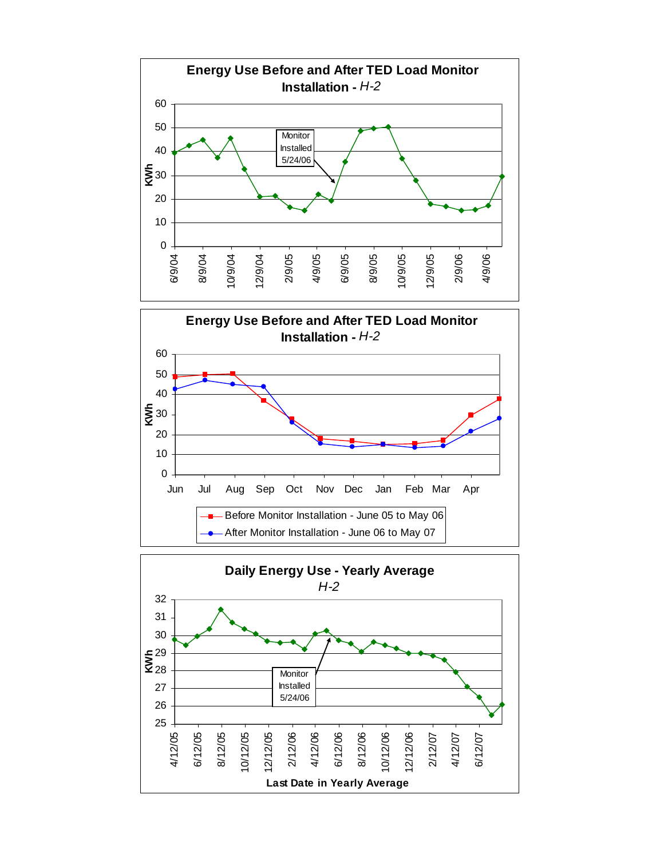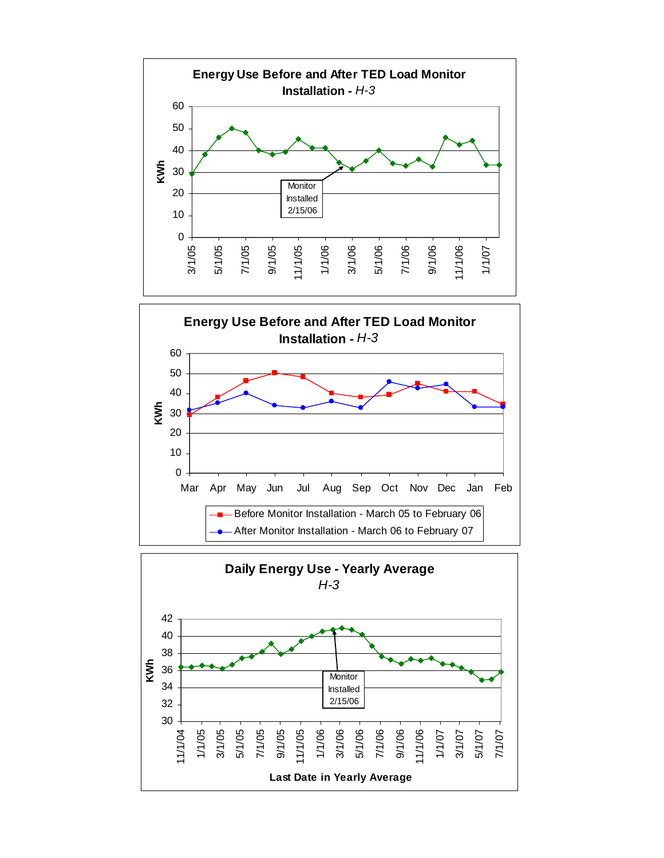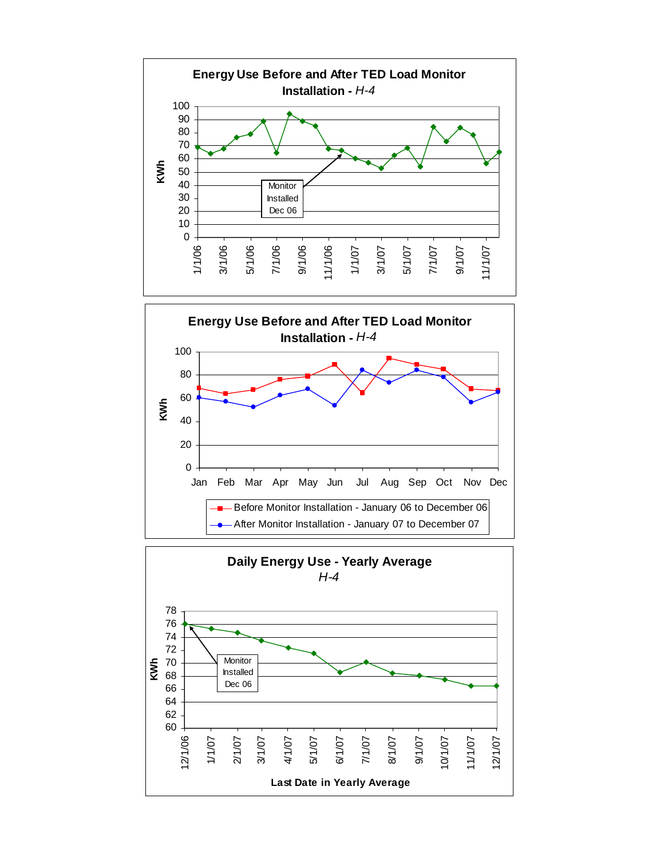



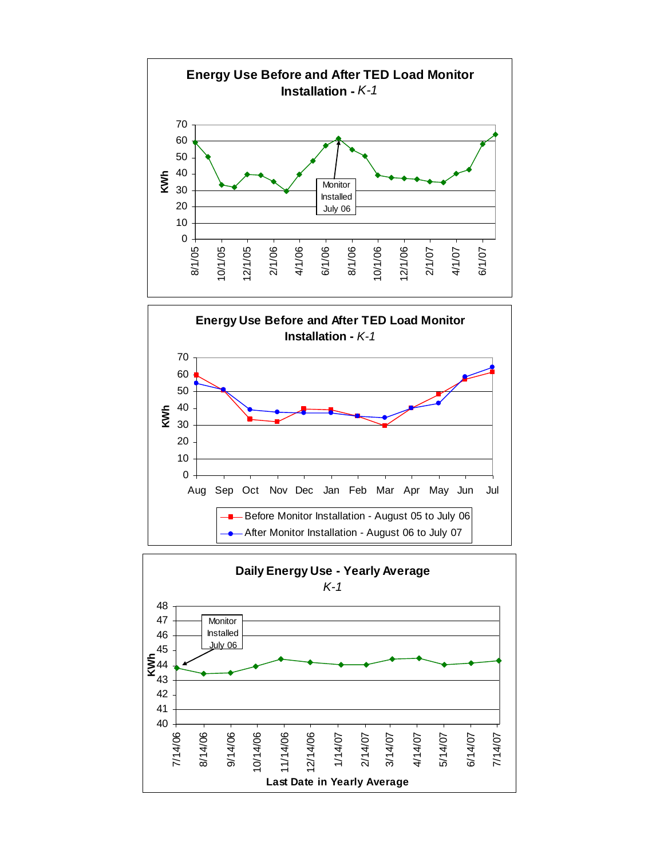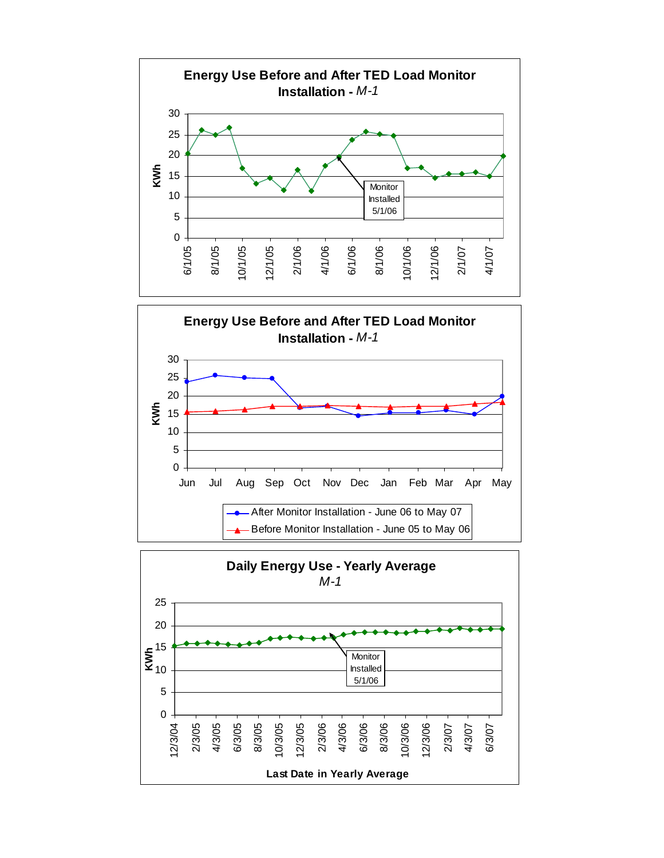



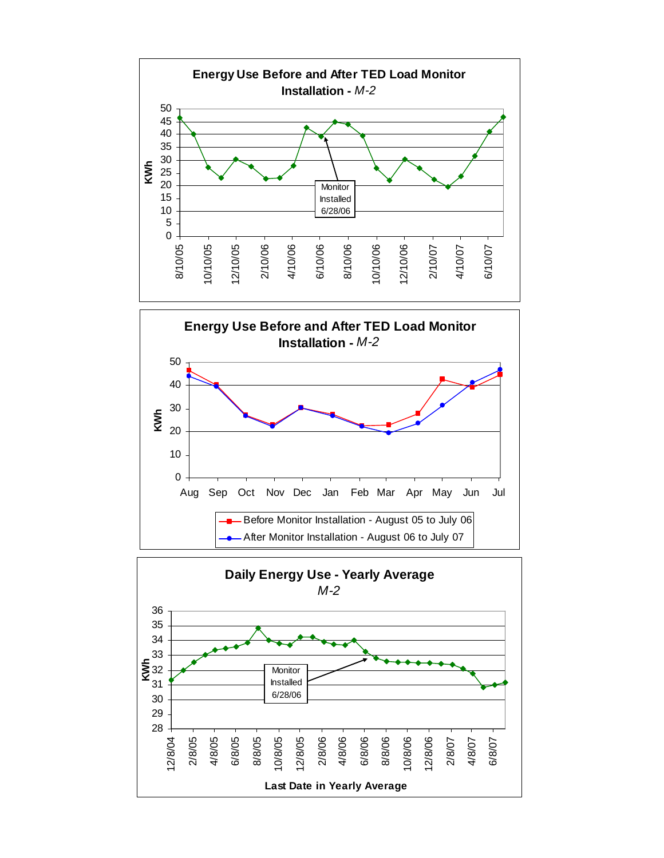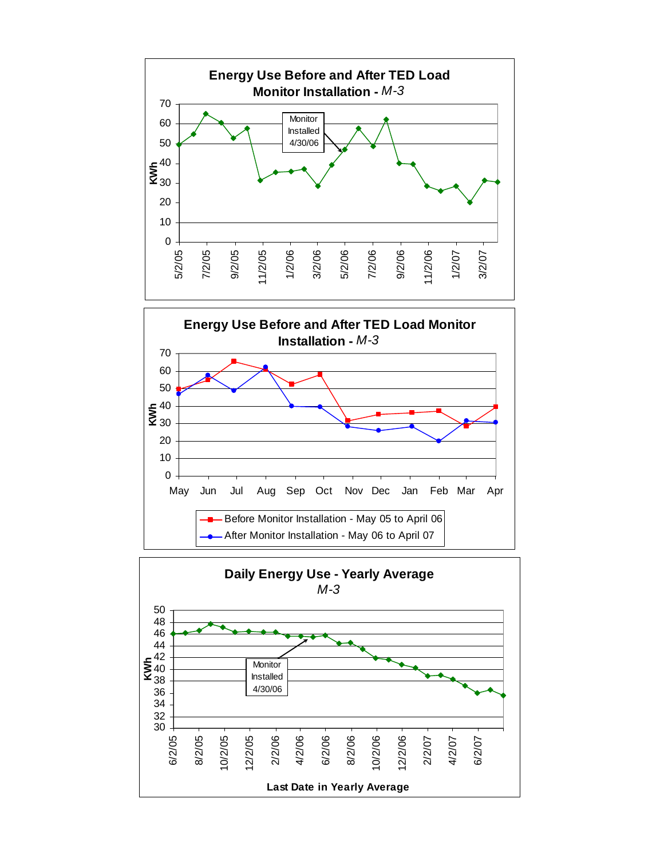



![](_page_31_Figure_2.jpeg)